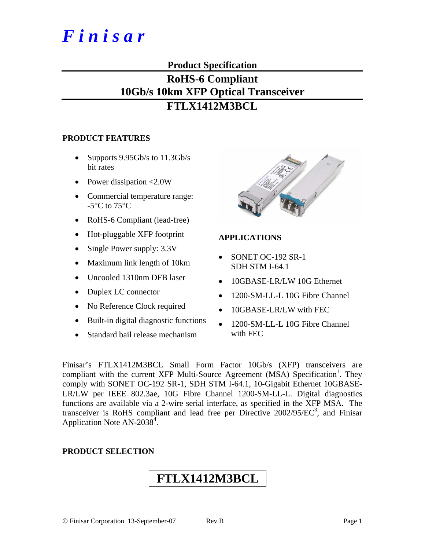# *F i n i s a r*

### **Product Specification**

### **RoHS-6 Compliant 10Gb/s 10km XFP Optical Transceiver FTLX1412M3BCL**

#### **PRODUCT FEATURES**

- Supports  $9.95Gb/s$  to  $11.3Gb/s$ bit rates
- Power dissipation <2.0W
- Commercial temperature range:  $-5^{\circ}$ C to  $75^{\circ}$ C
- RoHS-6 Compliant (lead-free)
- Hot-pluggable XFP footprint
- Single Power supply:  $3.3V$
- Maximum link length of 10km
- Uncooled 1310nm DFB laser
- Duplex LC connector
- No Reference Clock required
- Built-in digital diagnostic functions
- Standard bail release mechanism



#### **APPLICATIONS**

- SONET OC-192 SR-1 SDH STM I-64.1
- 10GBASE-LR/LW 10G Ethernet
- 1200-SM-LL-L 10G Fibre Channel
- 10GBASE-LR/LW with FEC
- 1200-SM-LL-L 10G Fibre Channel with FEC

Finisar's FTLX1412M3BCL Small Form Factor 10Gb/s (XFP) transceivers are compliant with the current XFP Multi-Source Agreement (MSA) Specification<sup>1</sup>. They comply with SONET OC-192 SR-1, SDH STM I-64.1, 10-Gigabit Ethernet 10GBASE-LR/LW per IEEE 802.3ae, 10G Fibre Channel 1200-SM-LL-L. Digital diagnostics functions are available via a 2-wire serial interface, as specified in the XFP MSA. The transceiver is RoHS compliant and lead free per Directive  $2002/95/EC^3$ , and Finisar Application Note  $AN-2038^4$ .

#### **PRODUCT SELECTION**

## **FTLX1412M3BCL**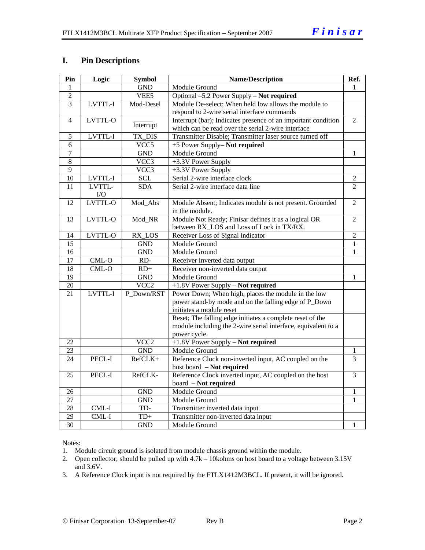#### **I. Pin Descriptions**

| Pin             | Logic   | <b>Symbol</b>    | <b>Name/Description</b>                                       | Ref.           |
|-----------------|---------|------------------|---------------------------------------------------------------|----------------|
| 1               |         | <b>GND</b>       | Module Ground                                                 | 1              |
| $\overline{2}$  |         | VEE5             | Optional -5.2 Power Supply - Not required                     |                |
| $\overline{3}$  | LVTTL-I | Mod-Desel        | Module De-select; When held low allows the module to          |                |
|                 |         |                  | respond to 2-wire serial interface commands                   |                |
| $\overline{4}$  | LVTTL-O |                  | Interrupt (bar); Indicates presence of an important condition | $\mathfrak{D}$ |
|                 |         | Interrupt        | which can be read over the serial 2-wire interface            |                |
| 5               | LVTTL-I | TX DIS           | Transmitter Disable; Transmitter laser source turned off      |                |
| 6               |         | VCC <sub>5</sub> | +5 Power Supply- Not required                                 |                |
| $\overline{7}$  |         | <b>GND</b>       | <b>Module Ground</b>                                          | 1              |
| 8               |         | VCC3             | +3.3V Power Supply                                            |                |
| $\overline{9}$  |         | VCC3             | +3.3V Power Supply                                            |                |
| 10              | LVTTL-I | <b>SCL</b>       | Serial 2-wire interface clock                                 | $\overline{2}$ |
| 11              | LVTTL-  | SDA              | Serial 2-wire interface data line                             | $\overline{2}$ |
|                 | I/O     |                  |                                                               |                |
| 12              | LVTTL-O | Mod_Abs          | Module Absent; Indicates module is not present. Grounded      | $\overline{c}$ |
|                 |         |                  | in the module.                                                |                |
| 13              | LVTTL-O | Mod_NR           | Module Not Ready; Finisar defines it as a logical OR          | $\overline{2}$ |
|                 |         |                  | between RX_LOS and Loss of Lock in TX/RX.                     |                |
| 14              | LVTTL-O | RX_LOS           | Receiver Loss of Signal indicator                             | $\overline{2}$ |
| $\overline{15}$ |         | <b>GND</b>       | Module Ground                                                 | $\mathbf{1}$   |
| 16              |         | <b>GND</b>       | Module Ground                                                 | $\mathbf{1}$   |
| $\overline{17}$ | CML-O   | RD-              | Receiver inverted data output                                 |                |
| $\overline{18}$ | $CML-O$ | $RD+$            | Receiver non-inverted data output                             |                |
| $\overline{19}$ |         | <b>GND</b>       | Module Ground                                                 | 1              |
| $20\,$          |         | VCC <sub>2</sub> | +1.8V Power Supply - Not required                             |                |
| 21              | LVTTL-I | P Down/RST       | Power Down; When high, places the module in the low           |                |
|                 |         |                  | power stand-by mode and on the falling edge of P_Down         |                |
|                 |         |                  | initiates a module reset                                      |                |
|                 |         |                  | Reset; The falling edge initiates a complete reset of the     |                |
|                 |         |                  | module including the 2-wire serial interface, equivalent to a |                |
|                 |         |                  | power cycle.                                                  |                |
| 22              |         | VCC <sub>2</sub> | $+1.8V$ Power Supply - Not required                           |                |
| 23              |         | <b>GND</b>       | Module Ground                                                 | 1              |
| 24              | PECL-I  | RefCLK+          | Reference Clock non-inverted input, AC coupled on the         | $\overline{3}$ |
|                 |         |                  | host board - Not required                                     |                |
| 25              | PECL-I  | RefCLK-          | Reference Clock inverted input, AC coupled on the host        | $\overline{3}$ |
|                 |         |                  | board - Not required                                          |                |
| 26              |         | <b>GND</b>       | <b>Module Ground</b>                                          | 1              |
| 27              |         | <b>GND</b>       | Module Ground                                                 | 1              |
| 28              | CML-I   | TD-              | Transmitter inverted data input                               |                |
| $\overline{29}$ | CML-I   | $TD+$            | Transmitter non-inverted data input                           |                |
| 30              |         | <b>GND</b>       | Module Ground                                                 | 1              |

Notes:

1. Module circuit ground is isolated from module chassis ground within the module.

2. Open collector; should be pulled up with 4.7k – 10kohms on host board to a voltage between 3.15V and 3.6V.

3. A Reference Clock input is not required by the FTLX1412M3BCL. If present, it will be ignored.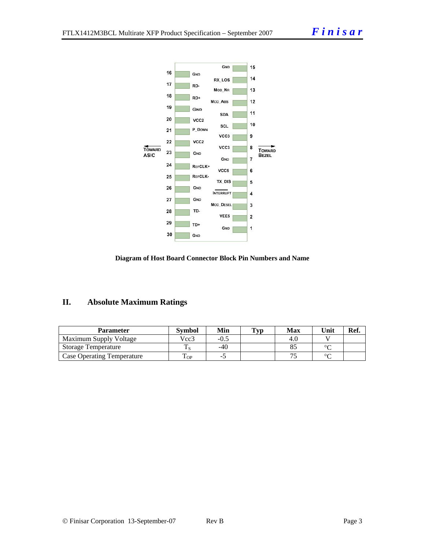



### **II. Absolute Maximum Ratings**

| Parameter                         | Svmbol             | Min   | Typ | Max | Unit   | Ref. |
|-----------------------------------|--------------------|-------|-----|-----|--------|------|
| Maximum Supply Voltage            | Vcc3               | -0.5  |     | 4.U |        |      |
| <b>Storage Temperature</b>        |                    | $-40$ |     |     | $\sim$ |      |
| <b>Case Operating Temperature</b> | $\mathbf{r}$<br>OP |       |     |     | $\sim$ |      |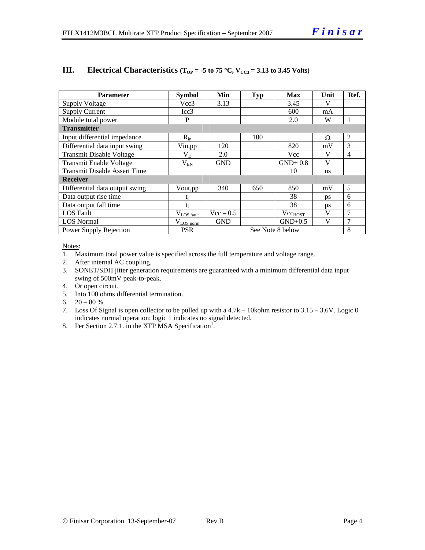| <b>Parameter</b>                    | <b>Symbol</b>         | Min         | <b>Typ</b> | <b>Max</b>       | Unit         | Ref. |
|-------------------------------------|-----------------------|-------------|------------|------------------|--------------|------|
| <b>Supply Voltage</b>               | Vcc3                  | 3.13        |            | 3.45             | V            |      |
| <b>Supply Current</b>               | Icc3                  |             |            | 600              | mA           |      |
| Module total power                  | P                     |             |            | 2.0              | W            |      |
| <b>Transmitter</b>                  |                       |             |            |                  |              |      |
| Input differential impedance        | $R_{in}$              |             | 100        |                  | Ω            | 2    |
| Differential data input swing       | Vin, pp               | 120         |            | 820              | mV           | 3    |
| <b>Transmit Disable Voltage</b>     | $\rm V_{D}$           | 2.0         |            | Vcc              | V            | 4    |
| <b>Transmit Enable Voltage</b>      | $V_{EN}$              | <b>GND</b>  |            | $GND+0.8$        | V            |      |
| <b>Transmit Disable Assert Time</b> |                       |             |            | 10               | <b>us</b>    |      |
| <b>Receiver</b>                     |                       |             |            |                  |              |      |
| Differential data output swing      | Vout, pp              | 340         | 650        | 850              | mV           | 5    |
| Data output rise time               | t,                    |             |            | 38               | ps           | 6    |
| Data output fall time               | $t_f$                 |             |            | 38               | ps           | 6    |
| <b>LOS</b> Fault                    | $V_{LOS\_fault}$      | $Vec - 0.5$ |            | $Vec_{HOST}$     | V            | 7    |
| <b>LOS Normal</b>                   | $V_{\text{LOS norm}}$ | <b>GND</b>  |            | $GND+0.5$        | $\mathbf{V}$ | 7    |
| Power Supply Rejection              | <b>PSR</b>            |             |            | See Note 8 below |              | 8    |

#### **III.** Electrical Characteristics ( $T_{OP} = -5$  to 75 °C,  $V_{CC3} = 3.13$  to 3.45 Volts)

Notes:

- 1. Maximum total power value is specified across the full temperature and voltage range.
- 2. After internal AC coupling.
- 3. SONET/SDH jitter generation requirements are guaranteed with a minimum differential data input swing of 500mV peak-to-peak.
- 4. Or open circuit.
- 5. Into 100 ohms differential termination.
- 6.  $20 80 %$
- 7. Loss Of Signal is open collector to be pulled up with a 4.7k 10kohm resistor to 3.15 3.6V. Logic 0 indicates normal operation; logic 1 indicates no signal detected.
- 8. Per Section 2.7.1. in the XFP MSA Specification<sup>1</sup>.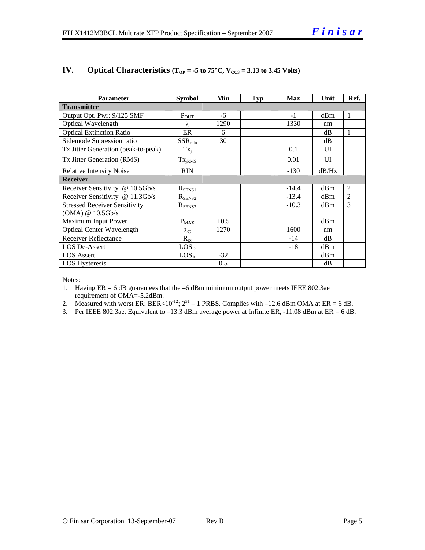| <b>Parameter</b>                     | <b>Symbol</b>     | Min    | <b>Typ</b> | <b>Max</b> | Unit  | Ref.           |  |
|--------------------------------------|-------------------|--------|------------|------------|-------|----------------|--|
| <b>Transmitter</b>                   |                   |        |            |            |       |                |  |
| Output Opt. Pwr: 9/125 SMF           | $P_{OT}$          | -6     |            | $-1$       | dBm   | 1              |  |
| <b>Optical Wavelength</b>            | λ                 | 1290   |            | 1330       | nm    |                |  |
| <b>Optical Extinction Ratio</b>      | ER                | 6      |            |            | dВ    | 1              |  |
| Sidemode Supression ratio            | $SSR_{min}$       | 30     |            |            | dB    |                |  |
| Tx Jitter Generation (peak-to-peak)  | $Tx_i$            |        |            | 0.1        | UI    |                |  |
| Tx Jitter Generation (RMS)           | $Tx_{iRMS}$       |        |            | 0.01       | UI    |                |  |
| <b>Relative Intensity Noise</b>      | <b>RIN</b>        |        |            | $-130$     | dB/Hz |                |  |
| <b>Receiver</b>                      |                   |        |            |            |       |                |  |
| Receiver Sensitivity @ 10.5Gb/s      | $R_{SEN51}$       |        |            | $-14.4$    | dBm   | 2              |  |
| Receiver Sensitivity @ 11.3Gb/s      | $R_{SENS2}$       |        |            | $-13.4$    | dBm   | $\overline{2}$ |  |
| <b>Stressed Receiver Sensitivity</b> | $R_{SENS3}$       |        |            | $-10.3$    | dBm   | 3              |  |
| (OMA) @ 10.5Gb/s                     |                   |        |            |            |       |                |  |
| Maximum Input Power                  | $P_{MAX}$         | $+0.5$ |            |            | dBm   |                |  |
| <b>Optical Center Wavelength</b>     | $\lambda_{\rm C}$ | 1270   |            | 1600       | nm    |                |  |
| <b>Receiver Reflectance</b>          | $R_{rx}$          |        |            | $-14$      | dB    |                |  |
| <b>LOS De-Assert</b>                 | LOS <sub>D</sub>  |        |            | $-18$      | dBm   |                |  |
| <b>LOS</b> Assert                    | LOS <sub>A</sub>  | $-32$  |            |            | dBm   |                |  |
| <b>LOS Hysteresis</b>                |                   | 0.5    |            |            | dB    |                |  |

#### **IV.** Optical Characteristics ( $T_{OP} = -5$  to 75°C,  $V_{CC3} = 3.13$  to 3.45 Volts)

Notes:

- 1. Having ER = 6 dB guarantees that the –6 dBm minimum output power meets IEEE 802.3ae requirement of OMA=-5.2dBm.
- 2. Measured with worst ER; BER<10<sup>-12</sup>;  $2^{31}$  1 PRBS. Complies with –12.6 dBm OMA at ER = 6 dB.
- 3. Per IEEE 802.3ae. Equivalent to  $-13.3$  dBm average power at Infinite ER,  $-11.08$  dBm at ER = 6 dB.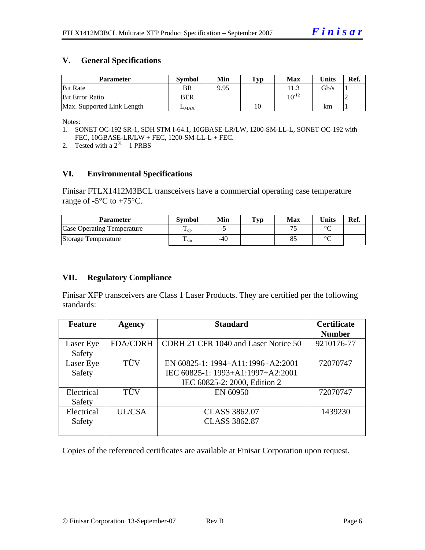#### **V. General Specifications**

| <b>Parameter</b>           | <b>Symbol</b> | Min  | Typ | Max            | <b>Units</b> | Ref. |
|----------------------------|---------------|------|-----|----------------|--------------|------|
| <b>Bit Rate</b>            | BR            | 9.95 |     |                | Gb/s         |      |
| Bit Error Ratio            | <b>BER</b>    |      |     | 1 $\Omega$ -12 |              |      |
| Max. Supported Link Length | $L_{MAX}$     |      | 10  |                | km           |      |

Notes:

2. Tested with a  $2^{31} - 1$  PRBS

#### **VI. Environmental Specifications**

Finisar FTLX1412M3BCL transceivers have a commercial operating case temperature range of  $-5^{\circ}$ C to  $+75^{\circ}$ C.

| Parameter                  | <b>Symbol</b>     | Min | $\mathbf{T}_{\mathbf{V}\mathbf{p}}$ | Max | Units  | Ref. |
|----------------------------|-------------------|-----|-------------------------------------|-----|--------|------|
| Case Operating Temperature | $\mathbf{L}_{OD}$ | -   |                                     |     | $\sim$ |      |
| Storage Temperature        | m<br>$\pm$ sto    | -40 |                                     | o.  | $\sim$ |      |

#### **VII. Regulatory Compliance**

Finisar XFP transceivers are Class 1 Laser Products. They are certified per the following standards:

| <b>Feature</b> | <b>Agency</b>   | <b>Standard</b>                      | <b>Certificate</b> |
|----------------|-----------------|--------------------------------------|--------------------|
|                |                 |                                      | <b>Number</b>      |
| Laser Eye      | <b>FDA/CDRH</b> | CDRH 21 CFR 1040 and Laser Notice 50 | 9210176-77         |
| Safety         |                 |                                      |                    |
| Laser Eye      | TÜV             | EN 60825-1: 1994+A11:1996+A2:2001    | 72070747           |
| Safety         |                 | IEC 60825-1: 1993+A1:1997+A2:2001    |                    |
|                |                 | IEC 60825-2: 2000, Edition 2         |                    |
| Electrical     | <b>TÜV</b>      | EN 60950                             | 72070747           |
| Safety         |                 |                                      |                    |
| Electrical     | UL/CSA          | <b>CLASS 3862.07</b>                 | 1439230            |
| Safety         |                 | <b>CLASS 3862.87</b>                 |                    |
|                |                 |                                      |                    |

Copies of the referenced certificates are available at Finisar Corporation upon request.

<sup>1.</sup> SONET OC-192 SR-1, SDH STM I-64.1, 10GBASE-LR/LW, 1200-SM-LL-L, SONET OC-192 with FEC, 10GBASE-LR/LW + FEC, 1200-SM-LL-L + FEC.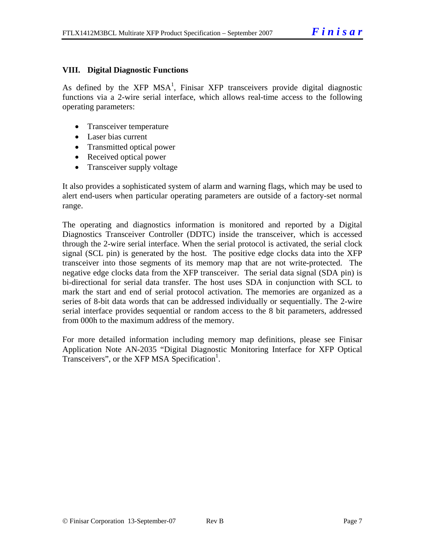#### **VIII. Digital Diagnostic Functions**

As defined by the XFP MSA<sup>1</sup>, Finisar XFP transceivers provide digital diagnostic functions via a 2-wire serial interface, which allows real-time access to the following operating parameters:

- Transceiver temperature
- Laser bias current
- Transmitted optical power
- Received optical power
- Transceiver supply voltage

It also provides a sophisticated system of alarm and warning flags, which may be used to alert end-users when particular operating parameters are outside of a factory-set normal range.

The operating and diagnostics information is monitored and reported by a Digital Diagnostics Transceiver Controller (DDTC) inside the transceiver, which is accessed through the 2-wire serial interface. When the serial protocol is activated, the serial clock signal (SCL pin) is generated by the host. The positive edge clocks data into the XFP transceiver into those segments of its memory map that are not write-protected. The negative edge clocks data from the XFP transceiver. The serial data signal (SDA pin) is bi-directional for serial data transfer. The host uses SDA in conjunction with SCL to mark the start and end of serial protocol activation. The memories are organized as a series of 8-bit data words that can be addressed individually or sequentially. The 2-wire serial interface provides sequential or random access to the 8 bit parameters, addressed from 000h to the maximum address of the memory.

For more detailed information including memory map definitions, please see Finisar Application Note AN-2035 "Digital Diagnostic Monitoring Interface for XFP Optical Transceivers", or the XFP MSA Specification<sup>1</sup>.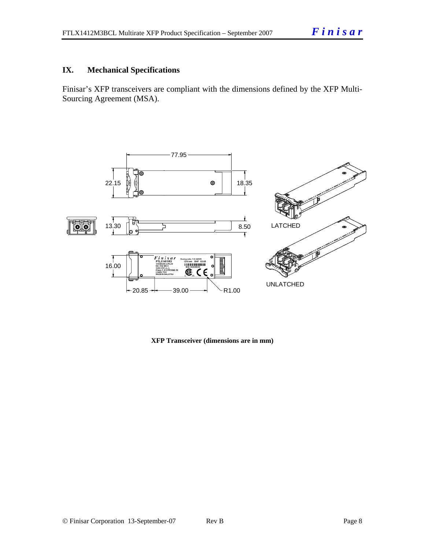#### **IX. Mechanical Specifications**

Finisar's XFP transceivers are compliant with the dimensions defined by the XFP Multi-Sourcing Agreement (MSA).



**XFP Transceiver (dimensions are in mm)**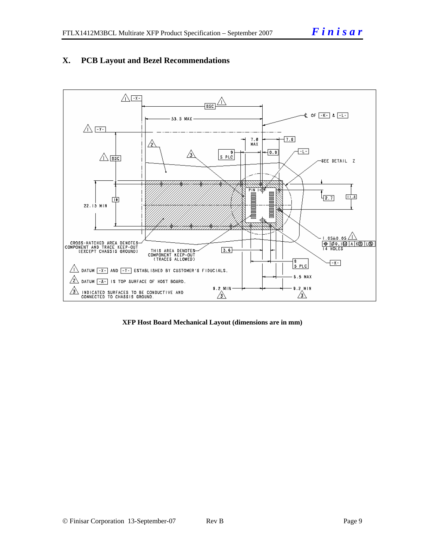#### **X. PCB Layout and Bezel Recommendations**



**XFP Host Board Mechanical Layout (dimensions are in mm)**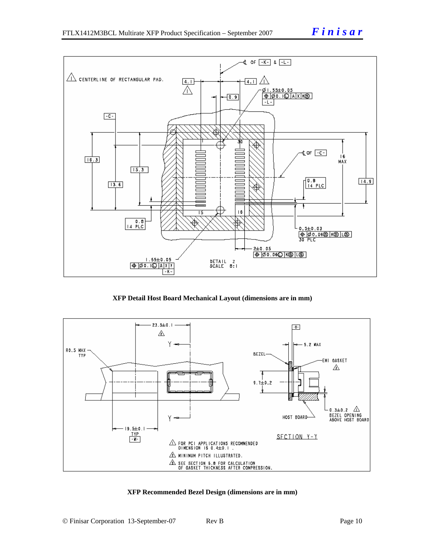



**XFP Detail Host Board Mechanical Layout (dimensions are in mm)** 



#### **XFP Recommended Bezel Design (dimensions are in mm)**